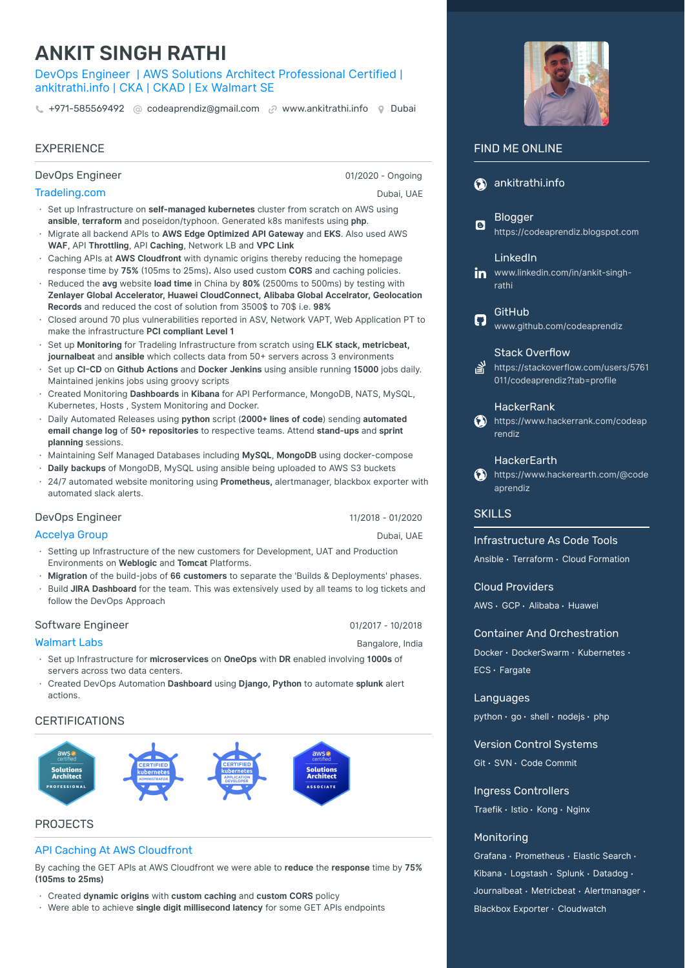# ANKIT SINGH RATHI

DevOps Engineer | AWS Solutions Architect Professional Certified | ankitrathi.info | CKA | CKAD | Ex Walmart SE

 $\leftarrow$  [+971-585569492](tel:+971-585569492)  $\odot$  [codeaprendiz@gmail.com](mailto:codeaprendiz@gmail.com)  $\oslash$  www.ankitrathi.info  $\circ$  Dubai

# **EXPERIENCE**

DevOps Engineer

#### Tradeling.com Dubai, UAE

01/2020 - Ongoing

- Set up Infrastructure on **self-managed kubernetes** cluster from scratch on AWS using **ansible**, **terraform** and poseidon/typhoon. Generated k8s manifests using **php**.
- Migrate all backend APIs to **AWS Edge Optimized API Gateway** and **EKS**. Also used AWS **WAF**, API **Throttling**, API **Caching**, Network LB and **VPC Link**
- Caching APIs at **AWS Cloudfront** with dynamic origins thereby reducing the homepage response time by **75%** (105ms to 25ms)**.** Also used custom **CORS** and caching policies.
- $\sigma_{\rm{eff}}$ Reduced the **avg** website **load time** in China by **80%** (2500ms to 500ms) by testing with **Zenlayer Global Accelerator, Huawei CloudConnect, Alibaba Global Accelrator, Geolocation Records** and reduced the cost of solution from 3500\$ to 70\$ i.e. **98%**
- Closed around 70 plus vulnerabilities reported in ASV, Network VAPT, Web Application PT to make the infrastructure **PCI compliant Level 1**
- Set up **Monitoring** for Tradeling Infrastructure from scratch using **ELK stack, metricbeat, journalbeat** and **ansible** which collects data from 50+ servers across 3 environments
- Set up **CI-CD** on **Github Actions** and **Docker Jenkins** using ansible running **15000** jobs daily. Maintained jenkins jobs using groovy scripts
- Created Monitoring **Dashboards** in **Kibana** for API Performance, MongoDB, NATS, MySQL, Kubernetes, Hosts , System Monitoring and Docker.
- Daily Automated Releases using **python** script (**2000+ lines of code**) sending **automated email change log** of **50+ repositories** to respective teams. Attend **stand-ups** and **sprint planning** sessions.
- Maintaining Self Managed Databases including **MySQL**, **MongoDB** using docker-compose
- **Daily backups** of MongoDB, MySQL using ansible being uploaded to AWS S3 buckets
- 24/7 automated website monitoring using **Prometheus,** alertmanager, blackbox exporter with automated slack alerts.

# DevOps Engineer

11/2018 - 01/2020

01/2017 - 10/2018

Accelya Group and the contract of the contract of the Dubai, UAE

- $\cdot$  Setting up Infrastructure of the new customers for Development, UAT and Production Environments on **Weblogic** and **Tomcat** Platforms.
- **Migration** of the build-jobs of **66 customers** to separate the 'Builds & Deployments' phases. Build **JIRA Dashboard** for the team. This was extensively used by all teams to log tickets and follow the DevOps Approach
- Software Engineer

# Walmart Labs **Bangalore, India** Bangalore, India

- Set up Infrastructure for **microservices** on **OneOps** with **DR** enabled involving **1000s** of servers across two data centers.
- Created DevOps Automation **Dashboard** using **Django, Python** to automate **splunk** alert actions.

# **CERTIFICATIONS**



# PROJECTS

# API Caching At AWS Cloudfront

By caching the GET APIs at AWS Cloudfront we were able to **reduce** the **response** time by **75% (105ms to 25ms)**

- $\sim$ Created **dynamic origins** with **custom caching** and **custom CORS** policy
- Were able to achieve **single digit millisecond latency** for some GET APIs endpoints



# FIND ME ONLINE

# 7 ankitrathi.info

 $\overline{c}$ Blogger [https://codeaprendiz.blogspot.com](https://codeaprendiz.blogspot.com/)

#### LinkedIn

in [www.linkedin.com/in/ankit-singh](https://www.linkedin.com/in/ankit-singh-rathi)rathi

# GitHub

 $\boldsymbol{\Box}$ [www.github.com/codeaprendiz](https://www.github.com/codeaprendiz)

# Stack Overflow

[https://stackoverflow.com/users/5761](https://stackoverflow.com/users/5761011/codeaprendiz?tab=profile) 011/codeaprendiz?tab=profile

#### **HackerRank**

7 [https://www.hackerrank.com/codeap](https://www.hackerrank.com/codeaprendiz) rendiz

## **HackerEarth**

7 [https://www.hackerearth.com/@code](https://www.hackerearth.com/@codeaprendiz) aprendiz

# SKILLS

#### Infrastructure As Code Tools

Ansible · Terraform · Cloud Formation

Cloud Providers

AWS · GCP · Alibaba · Huawei

#### Container And Orchestration

Docker · DockerSwarm · Kubernetes ·  $ECS \cdot$  Fargate

## Languages

 $python · go · shell · node is · php$ 

Git · SVN · Code Commit Version Control Systems

Ingress Controllers

Traefik  $\cdot$  Istio  $\cdot$  Kong  $\cdot$  Nginx

# Monitoring

Grafana · Prometheus · Elastic Search · Kibana · Logstash · Splunk · Datadog · Journalbeat  $\cdot$  Metricbeat  $\cdot$  Alertmanager  $\cdot$ Blackbox Exporter · Cloudwatch